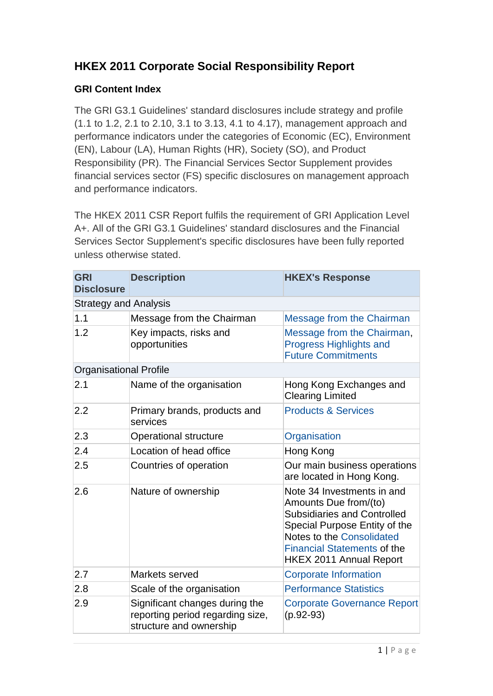## **HKEX 2011 Corporate Social Responsibility Report**

## **GRI Content Index**

The GRI G3.1 Guidelines' standard disclosures include strategy and profile (1.1 to 1.2, 2.1 to 2.10, 3.1 to 3.13, 4.1 to 4.17), management approach and performance indicators under the categories of Economic (EC), Environment (EN), Labour (LA), Human Rights (HR), Society (SO), and Product Responsibility (PR). The Financial Services Sector Supplement provides financial services sector (FS) specific disclosures on management approach and performance indicators.

The HKEX 2011 CSR Report fulfils the requirement of GRI Application Level A+. All of the GRI G3.1 Guidelines' standard disclosures and the Financial Services Sector Supplement's specific disclosures have been fully reported unless otherwise stated.

| <b>GRI</b><br><b>Disclosure</b> | <b>Description</b>                                                                            | <b>HKEX's Response</b>                                                                                                                                                                                                                 |
|---------------------------------|-----------------------------------------------------------------------------------------------|----------------------------------------------------------------------------------------------------------------------------------------------------------------------------------------------------------------------------------------|
| <b>Strategy and Analysis</b>    |                                                                                               |                                                                                                                                                                                                                                        |
| 1.1                             | Message from the Chairman                                                                     | Message from the Chairman                                                                                                                                                                                                              |
| 1.2                             | Key impacts, risks and<br>opportunities                                                       | Message from the Chairman,<br><b>Progress Highlights and</b><br><b>Future Commitments</b>                                                                                                                                              |
| <b>Organisational Profile</b>   |                                                                                               |                                                                                                                                                                                                                                        |
| 2.1                             | Name of the organisation                                                                      | Hong Kong Exchanges and<br><b>Clearing Limited</b>                                                                                                                                                                                     |
| 2.2                             | Primary brands, products and<br>services                                                      | <b>Products &amp; Services</b>                                                                                                                                                                                                         |
| 2.3                             | <b>Operational structure</b>                                                                  | Organisation                                                                                                                                                                                                                           |
| 2.4                             | Location of head office                                                                       | Hong Kong                                                                                                                                                                                                                              |
| 2.5                             | Countries of operation                                                                        | Our main business operations<br>are located in Hong Kong.                                                                                                                                                                              |
| 2.6                             | Nature of ownership                                                                           | Note 34 Investments in and<br>Amounts Due from/(to)<br><b>Subsidiaries and Controlled</b><br>Special Purpose Entity of the<br><b>Notes to the Consolidated</b><br><b>Financial Statements of the</b><br><b>HKEX 2011 Annual Report</b> |
| 2.7                             | Markets served                                                                                | <b>Corporate Information</b>                                                                                                                                                                                                           |
| 2.8                             | Scale of the organisation                                                                     | <b>Performance Statistics</b>                                                                                                                                                                                                          |
| 2.9                             | Significant changes during the<br>reporting period regarding size,<br>structure and ownership | <b>Corporate Governance Report</b><br>$(p.92-93)$                                                                                                                                                                                      |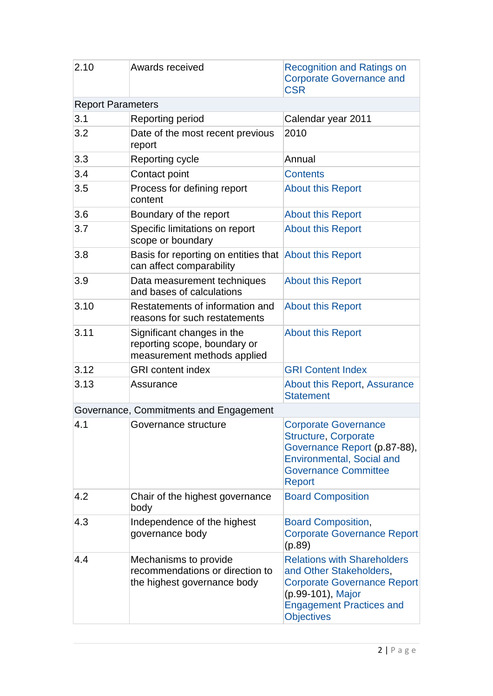| 2.10                     | <b>Awards received</b>                                                                    | <b>Recognition and Ratings on</b><br><b>Corporate Governance and</b><br><b>CSR</b>                                                                                               |
|--------------------------|-------------------------------------------------------------------------------------------|----------------------------------------------------------------------------------------------------------------------------------------------------------------------------------|
| <b>Report Parameters</b> |                                                                                           |                                                                                                                                                                                  |
| 3.1                      | Reporting period                                                                          | Calendar year 2011                                                                                                                                                               |
| 3.2                      | Date of the most recent previous<br>report                                                | 2010                                                                                                                                                                             |
| 3.3                      | Reporting cycle                                                                           | Annual                                                                                                                                                                           |
| 3.4                      | Contact point                                                                             | <b>Contents</b>                                                                                                                                                                  |
| 3.5                      | Process for defining report<br>content                                                    | <b>About this Report</b>                                                                                                                                                         |
| 3.6                      | Boundary of the report                                                                    | <b>About this Report</b>                                                                                                                                                         |
| 3.7                      | Specific limitations on report<br>scope or boundary                                       | <b>About this Report</b>                                                                                                                                                         |
| 3.8                      | Basis for reporting on entities that About this Report<br>can affect comparability        |                                                                                                                                                                                  |
| 3.9                      | Data measurement techniques<br>and bases of calculations                                  | <b>About this Report</b>                                                                                                                                                         |
| 3.10                     | Restatements of information and<br>reasons for such restatements                          | <b>About this Report</b>                                                                                                                                                         |
| 3.11                     | Significant changes in the<br>reporting scope, boundary or<br>measurement methods applied | <b>About this Report</b>                                                                                                                                                         |
| 3.12                     | <b>GRI</b> content index                                                                  | <b>GRI Content Index</b>                                                                                                                                                         |
| 3.13                     | Assurance                                                                                 | About this Report, Assurance<br><b>Statement</b>                                                                                                                                 |
|                          | Governance, Commitments and Engagement                                                    |                                                                                                                                                                                  |
| 4.1                      | Governance structure                                                                      | <b>Corporate Governance</b><br><b>Structure, Corporate</b><br>Governance Report (p.87-88),<br><b>Environmental, Social and</b><br><b>Governance Committee</b><br><b>Report</b>   |
| 4.2                      | Chair of the highest governance<br>body                                                   | <b>Board Composition</b>                                                                                                                                                         |
| 4.3                      | Independence of the highest<br>governance body                                            | <b>Board Composition,</b><br><b>Corporate Governance Report</b><br>(p.89)                                                                                                        |
| 4.4                      | Mechanisms to provide<br>recommendations or direction to<br>the highest governance body   | <b>Relations with Shareholders</b><br>and Other Stakeholders,<br><b>Corporate Governance Report</b><br>(p.99-101), Major<br><b>Engagement Practices and</b><br><b>Objectives</b> |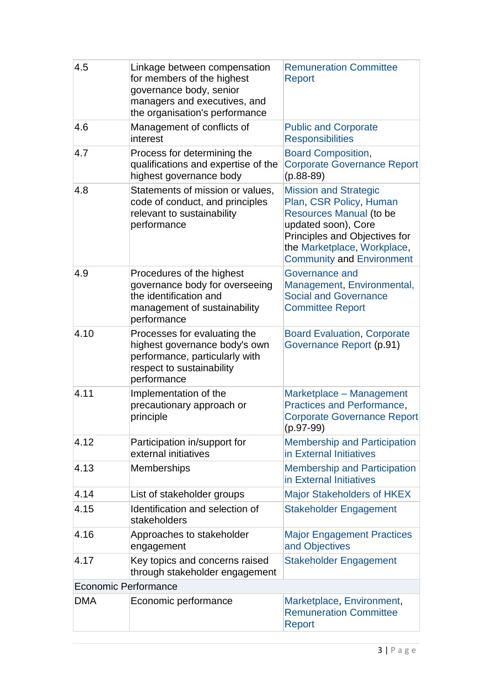| 4.5                         | Linkage between compensation<br>for members of the highest<br>governance body, senior<br>managers and executives, and<br>the organisation's performance | <b>Remuneration Committee</b><br>Report                                                                                                                                                                       |
|-----------------------------|---------------------------------------------------------------------------------------------------------------------------------------------------------|---------------------------------------------------------------------------------------------------------------------------------------------------------------------------------------------------------------|
| 4.6                         | Management of conflicts of<br>interest                                                                                                                  | <b>Public and Corporate</b><br><b>Responsibilities</b>                                                                                                                                                        |
| 4.7                         | Process for determining the<br>qualifications and expertise of the<br>highest governance body                                                           | <b>Board Composition,</b><br><b>Corporate Governance Report</b><br>$(p.88-89)$                                                                                                                                |
| 4.8                         | Statements of mission or values,<br>code of conduct, and principles<br>relevant to sustainability<br>performance                                        | <b>Mission and Strategic</b><br>Plan, CSR Policy, Human<br>Resources Manual (to be<br>updated soon), Core<br>Principles and Objectives for<br>the Marketplace, Workplace,<br><b>Community and Environment</b> |
| 4.9                         | Procedures of the highest<br>governance body for overseeing<br>the identification and<br>management of sustainability<br>performance                    | Governance and<br>Management, Environmental,<br><b>Social and Governance</b><br><b>Committee Report</b>                                                                                                       |
| 4.10                        | Processes for evaluating the<br>highest governance body's own<br>performance, particularly with<br>respect to sustainability<br>performance             | <b>Board Evaluation, Corporate</b><br>Governance Report (p.91)                                                                                                                                                |
| 4.11                        | Implementation of the<br>precautionary approach or<br>principle                                                                                         | Marketplace - Management<br>Practices and Performance,<br><b>Corporate Governance Report</b><br>$(p.97-99)$                                                                                                   |
| 4.12                        | Participation in/support for<br>external initiatives                                                                                                    | <b>Membership and Participation</b><br>in External Initiatives                                                                                                                                                |
| 4.13                        | <b>Memberships</b>                                                                                                                                      | <b>Membership and Participation</b><br>in External Initiatives                                                                                                                                                |
| 4.14                        | List of stakeholder groups                                                                                                                              | <b>Major Stakeholders of HKEX</b>                                                                                                                                                                             |
| 4.15                        | Identification and selection of<br>stakeholders                                                                                                         | <b>Stakeholder Engagement</b>                                                                                                                                                                                 |
| 4.16                        | Approaches to stakeholder<br>engagement                                                                                                                 | <b>Major Engagement Practices</b><br>and Objectives                                                                                                                                                           |
| 4.17                        | Key topics and concerns raised<br>through stakeholder engagement                                                                                        | <b>Stakeholder Engagement</b>                                                                                                                                                                                 |
| <b>Economic Performance</b> |                                                                                                                                                         |                                                                                                                                                                                                               |
| <b>DMA</b>                  | Economic performance                                                                                                                                    | Marketplace, Environment,<br><b>Remuneration Committee</b><br>Report                                                                                                                                          |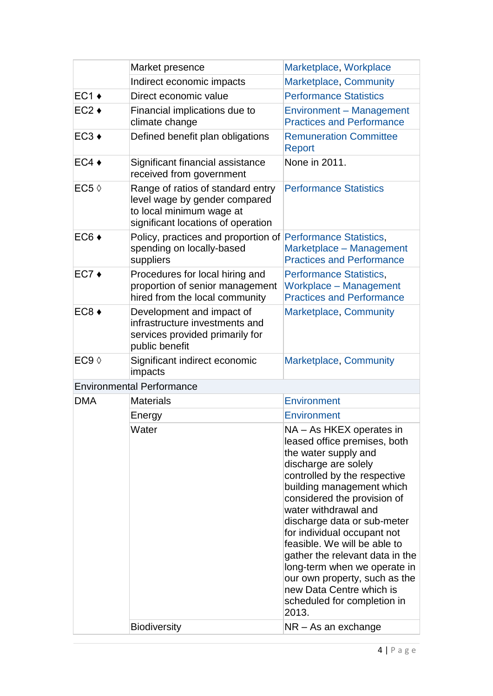|                     | Market presence                                                                                                                      | Marketplace, Workplace                                                                                                                                                                                                                                                                                                                                                                                                                                                                             |
|---------------------|--------------------------------------------------------------------------------------------------------------------------------------|----------------------------------------------------------------------------------------------------------------------------------------------------------------------------------------------------------------------------------------------------------------------------------------------------------------------------------------------------------------------------------------------------------------------------------------------------------------------------------------------------|
|                     | Indirect economic impacts                                                                                                            | Marketplace, Community                                                                                                                                                                                                                                                                                                                                                                                                                                                                             |
| $EC1 +$             | Direct economic value                                                                                                                | <b>Performance Statistics</b>                                                                                                                                                                                                                                                                                                                                                                                                                                                                      |
| $EC2 +$             | Financial implications due to<br>climate change                                                                                      | Environment - Management<br><b>Practices and Performance</b>                                                                                                                                                                                                                                                                                                                                                                                                                                       |
| $EC3 +$             | Defined benefit plan obligations                                                                                                     | <b>Remuneration Committee</b><br>Report                                                                                                                                                                                                                                                                                                                                                                                                                                                            |
| $EC4 +$             | Significant financial assistance<br>received from government                                                                         | None in 2011.                                                                                                                                                                                                                                                                                                                                                                                                                                                                                      |
| EC5 $\Diamond$      | Range of ratios of standard entry<br>level wage by gender compared<br>to local minimum wage at<br>significant locations of operation | <b>Performance Statistics</b>                                                                                                                                                                                                                                                                                                                                                                                                                                                                      |
| $EC6 \triangleleft$ | Policy, practices and proportion of Performance Statistics,<br>spending on locally-based<br>suppliers                                | Marketplace - Management<br><b>Practices and Performance</b>                                                                                                                                                                                                                                                                                                                                                                                                                                       |
| $EC7+$              | Procedures for local hiring and<br>proportion of senior management<br>hired from the local community                                 | <b>Performance Statistics,</b><br><b>Workplace - Management</b><br><b>Practices and Performance</b>                                                                                                                                                                                                                                                                                                                                                                                                |
| $EC8 +$             | Development and impact of<br>infrastructure investments and<br>services provided primarily for<br>public benefit                     | Marketplace, Community                                                                                                                                                                                                                                                                                                                                                                                                                                                                             |
| EC9 $\Diamond$      | Significant indirect economic<br>impacts                                                                                             | Marketplace, Community                                                                                                                                                                                                                                                                                                                                                                                                                                                                             |
|                     | <b>Environmental Performance</b>                                                                                                     |                                                                                                                                                                                                                                                                                                                                                                                                                                                                                                    |
| <b>DMA</b>          | <b>Materials</b>                                                                                                                     | Environment                                                                                                                                                                                                                                                                                                                                                                                                                                                                                        |
|                     | Energy                                                                                                                               | Environment                                                                                                                                                                                                                                                                                                                                                                                                                                                                                        |
|                     | Water                                                                                                                                | NA - As HKEX operates in<br>leased office premises, both<br>the water supply and<br>discharge are solely<br>controlled by the respective<br>building management which<br>considered the provision of<br>water withdrawal and<br>discharge data or sub-meter<br>for individual occupant not<br>feasible. We will be able to<br>gather the relevant data in the<br>long-term when we operate in<br>our own property, such as the<br>new Data Centre which is<br>scheduled for completion in<br>2013. |
|                     | <b>Biodiversity</b>                                                                                                                  | NR - As an exchange                                                                                                                                                                                                                                                                                                                                                                                                                                                                                |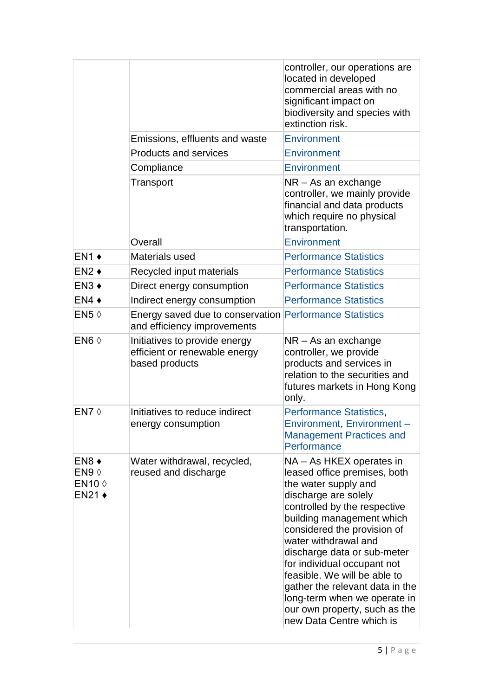|                                                                      | Emissions, effluents and waste                                                         | controller, our operations are<br>located in developed<br>commercial areas with no<br>significant impact on<br>biodiversity and species with<br>extinction risk.<br>Environment                                                                                                                                                                                                                                                                            |
|----------------------------------------------------------------------|----------------------------------------------------------------------------------------|------------------------------------------------------------------------------------------------------------------------------------------------------------------------------------------------------------------------------------------------------------------------------------------------------------------------------------------------------------------------------------------------------------------------------------------------------------|
|                                                                      | <b>Products and services</b>                                                           | Environment                                                                                                                                                                                                                                                                                                                                                                                                                                                |
|                                                                      | Compliance                                                                             | Environment                                                                                                                                                                                                                                                                                                                                                                                                                                                |
|                                                                      | Transport                                                                              | $NR - As$ an exchange<br>controller, we mainly provide<br>financial and data products<br>which require no physical<br>transportation.                                                                                                                                                                                                                                                                                                                      |
|                                                                      | Overall                                                                                | Environment                                                                                                                                                                                                                                                                                                                                                                                                                                                |
| $EN1 +$                                                              | Materials used                                                                         | <b>Performance Statistics</b>                                                                                                                                                                                                                                                                                                                                                                                                                              |
| $EN2 +$                                                              | Recycled input materials                                                               | <b>Performance Statistics</b>                                                                                                                                                                                                                                                                                                                                                                                                                              |
| EN <sub>3</sub>                                                      | Direct energy consumption                                                              | <b>Performance Statistics</b>                                                                                                                                                                                                                                                                                                                                                                                                                              |
| $EN4 +$                                                              | Indirect energy consumption                                                            | <b>Performance Statistics</b>                                                                                                                                                                                                                                                                                                                                                                                                                              |
| EN5 $\Diamond$                                                       | Energy saved due to conservation Performance Statistics<br>and efficiency improvements |                                                                                                                                                                                                                                                                                                                                                                                                                                                            |
| EN6 $\diamond$                                                       | Initiatives to provide energy<br>efficient or renewable energy<br>based products       | $NR - As$ an exchange<br>controller, we provide<br>products and services in<br>relation to the securities and<br>futures markets in Hong Kong<br>only.                                                                                                                                                                                                                                                                                                     |
| EN7 $\diamond$                                                       | Initiatives to reduce indirect<br>energy consumption                                   | <b>Performance Statistics,</b><br>Environment, Environment-<br><b>Management Practices and</b><br>Performance                                                                                                                                                                                                                                                                                                                                              |
| $EN8 +$<br>EN9 $\Diamond$<br>EN10 $\diamond$<br>$EN21 \triangleleft$ | Water withdrawal, recycled,<br>reused and discharge                                    | NA – As HKEX operates in<br>leased office premises, both<br>the water supply and<br>discharge are solely<br>controlled by the respective<br>building management which<br>considered the provision of<br>water withdrawal and<br>discharge data or sub-meter<br>for individual occupant not<br>feasible. We will be able to<br>gather the relevant data in the<br>long-term when we operate in<br>our own property, such as the<br>new Data Centre which is |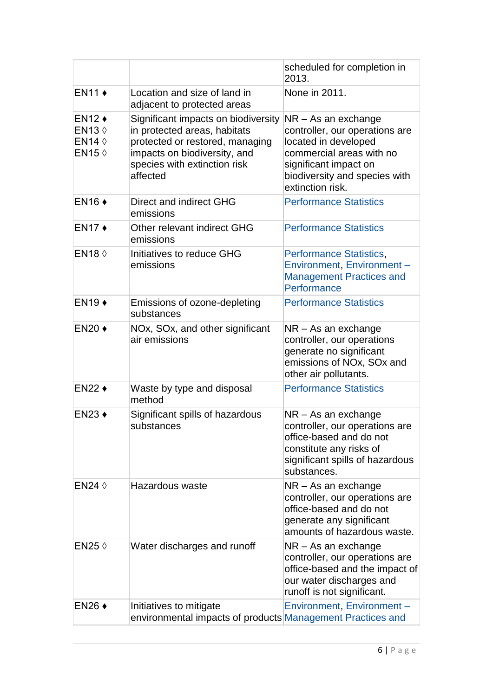|                                                                                                                 |                                                                                                                                                                                    | scheduled for completion in<br>2013.                                                                                                                                                    |
|-----------------------------------------------------------------------------------------------------------------|------------------------------------------------------------------------------------------------------------------------------------------------------------------------------------|-----------------------------------------------------------------------------------------------------------------------------------------------------------------------------------------|
| <b>EN11 +</b>                                                                                                   | Location and size of land in<br>adjacent to protected areas                                                                                                                        | None in 2011.                                                                                                                                                                           |
| $EN12 \rightarrow$<br>EN <sub>13</sub> $\Diamond$<br>EN <sub>14</sub> $\diamond$<br>EN <sub>15</sub> $\Diamond$ | Significant impacts on biodiversity<br>in protected areas, habitats<br>protected or restored, managing<br>impacts on biodiversity, and<br>species with extinction risk<br>affected | NR - As an exchange<br>controller, our operations are<br>located in developed<br>commercial areas with no<br>significant impact on<br>biodiversity and species with<br>extinction risk. |
| $EN16 \rightarrow$                                                                                              | Direct and indirect GHG<br>emissions                                                                                                                                               | <b>Performance Statistics</b>                                                                                                                                                           |
| $EN17 +$                                                                                                        | Other relevant indirect GHG<br>emissions                                                                                                                                           | <b>Performance Statistics</b>                                                                                                                                                           |
| <b>EN18 0</b>                                                                                                   | Initiatives to reduce GHG<br>emissions                                                                                                                                             | <b>Performance Statistics,</b><br>Environment, Environment-<br><b>Management Practices and</b><br>Performance                                                                           |
| $EN19 \rightarrow$                                                                                              | Emissions of ozone-depleting<br>substances                                                                                                                                         | <b>Performance Statistics</b>                                                                                                                                                           |
| $EN20 \triangleleft$                                                                                            | NOx, SOx, and other significant<br>air emissions                                                                                                                                   | $NR - As$ an exchange<br>controller, our operations<br>generate no significant<br>emissions of NOx, SOx and<br>other air pollutants.                                                    |
| <b>EN22 ♦</b>                                                                                                   | Waste by type and disposal<br>method                                                                                                                                               | <b>Performance Statistics</b>                                                                                                                                                           |
| $EN23$ $\triangleleft$                                                                                          | Significant spills of hazardous<br>substances                                                                                                                                      | $NR - As$ an exchange<br>controller, our operations are<br>office-based and do not<br>constitute any risks of<br>significant spills of hazardous<br>substances.                         |
| EN24 $\Diamond$                                                                                                 | Hazardous waste                                                                                                                                                                    | NR - As an exchange<br>controller, our operations are<br>office-based and do not<br>generate any significant<br>amounts of hazardous waste.                                             |
| EN25 $\Diamond$                                                                                                 | Water discharges and runoff                                                                                                                                                        | NR - As an exchange<br>controller, our operations are<br>office-based and the impact of<br>our water discharges and<br>runoff is not significant.                                       |
| $EN26 \rightarrow$                                                                                              | Initiatives to mitigate<br>environmental impacts of products Management Practices and                                                                                              | Environment, Environment-                                                                                                                                                               |
|                                                                                                                 |                                                                                                                                                                                    |                                                                                                                                                                                         |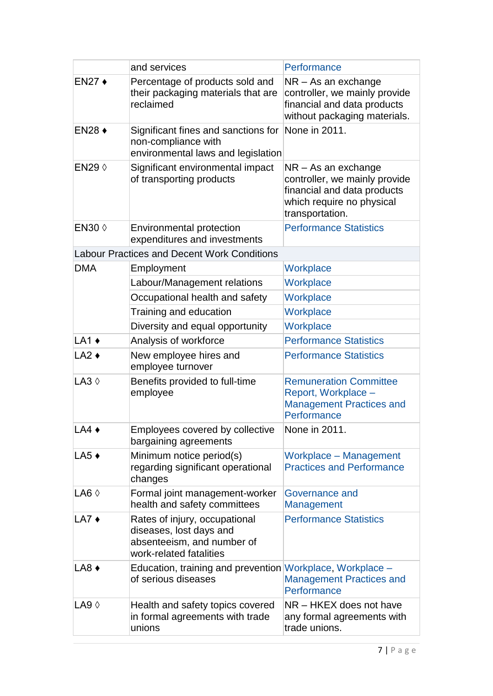|                        | and services                                                                                                      | Performance                                                                                                                           |
|------------------------|-------------------------------------------------------------------------------------------------------------------|---------------------------------------------------------------------------------------------------------------------------------------|
| EN27 +                 | Percentage of products sold and<br>their packaging materials that are<br>reclaimed                                | NR - As an exchange<br>controller, we mainly provide<br>financial and data products<br>without packaging materials.                   |
| $EN28$ $\triangleleft$ | Significant fines and sanctions for<br>non-compliance with<br>environmental laws and legislation                  | None in 2011.                                                                                                                         |
| EN29 0                 | Significant environmental impact<br>of transporting products                                                      | $NR - As$ an exchange<br>controller, we mainly provide<br>financial and data products<br>which require no physical<br>transportation. |
| EN30 $\diamond$        | <b>Environmental protection</b><br>expenditures and investments                                                   | <b>Performance Statistics</b>                                                                                                         |
|                        | <b>Labour Practices and Decent Work Conditions</b>                                                                |                                                                                                                                       |
| <b>DMA</b>             | Employment                                                                                                        | Workplace                                                                                                                             |
|                        | Labour/Management relations                                                                                       | Workplace                                                                                                                             |
|                        | Occupational health and safety                                                                                    | Workplace                                                                                                                             |
|                        | Training and education                                                                                            | Workplace                                                                                                                             |
|                        | Diversity and equal opportunity                                                                                   | Workplace                                                                                                                             |
| $LA1 +$                | Analysis of workforce                                                                                             | <b>Performance Statistics</b>                                                                                                         |
| $LA2 +$                | New employee hires and<br>employee turnover                                                                       | <b>Performance Statistics</b>                                                                                                         |
| $LA3$ $\diamond$       | Benefits provided to full-time<br>employee                                                                        | <b>Remuneration Committee</b><br>Report, Workplace -<br><b>Management Practices and</b><br>Performance                                |
| $LA4 \triangleleft$    | Employees covered by collective<br>bargaining agreements                                                          | None in 2011.                                                                                                                         |
| $LA5 +$                | Minimum notice period(s)<br>regarding significant operational<br>changes                                          | <b>Workplace - Management</b><br><b>Practices and Performance</b>                                                                     |
| LA6 $\Diamond$         | Formal joint management-worker<br>health and safety committees                                                    | Governance and<br><b>Management</b>                                                                                                   |
| $LA7 +$                | Rates of injury, occupational<br>diseases, lost days and<br>absenteeism, and number of<br>work-related fatalities | <b>Performance Statistics</b>                                                                                                         |
| $LAB \rightarrow$      | Education, training and prevention Workplace, Workplace -<br>of serious diseases                                  | <b>Management Practices and</b><br>Performance                                                                                        |
| $LAB \Diamond$         | Health and safety topics covered<br>in formal agreements with trade<br>unions                                     | NR - HKEX does not have<br>any formal agreements with<br>trade unions.                                                                |
|                        |                                                                                                                   |                                                                                                                                       |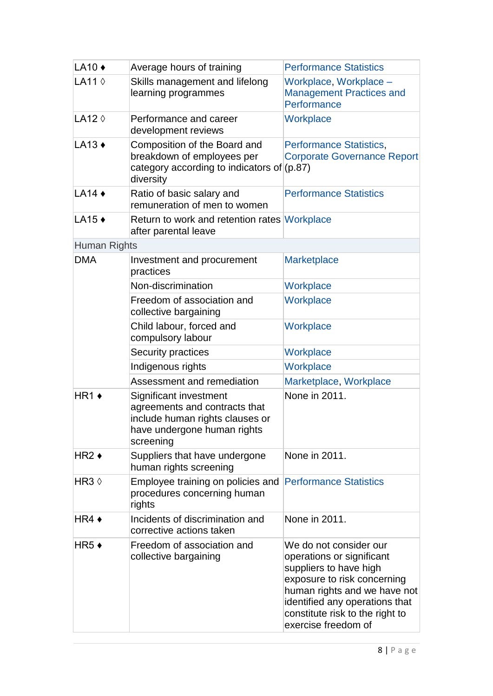| LA10 $\triangle$ | Average hours of training                                                                                                              | <b>Performance Statistics</b>                                                                                                                                                                                                            |
|------------------|----------------------------------------------------------------------------------------------------------------------------------------|------------------------------------------------------------------------------------------------------------------------------------------------------------------------------------------------------------------------------------------|
| LA11 $\diamond$  | Skills management and lifelong<br>learning programmes                                                                                  | Workplace, Workplace -<br><b>Management Practices and</b><br>Performance                                                                                                                                                                 |
| LA12 $\Diamond$  | Performance and career<br>development reviews                                                                                          | Workplace                                                                                                                                                                                                                                |
| $LA13 +$         | Composition of the Board and<br>breakdown of employees per<br>category according to indicators of $(p.87)$<br>diversity                | <b>Performance Statistics,</b><br><b>Corporate Governance Report</b>                                                                                                                                                                     |
| $LA14 \triangle$ | Ratio of basic salary and<br>remuneration of men to women                                                                              | <b>Performance Statistics</b>                                                                                                                                                                                                            |
| LA15 ◆           | Return to work and retention rates Workplace<br>after parental leave                                                                   |                                                                                                                                                                                                                                          |
| Human Rights     |                                                                                                                                        |                                                                                                                                                                                                                                          |
| <b>DMA</b>       | Investment and procurement<br>practices                                                                                                | <b>Marketplace</b>                                                                                                                                                                                                                       |
|                  | Non-discrimination                                                                                                                     | Workplace                                                                                                                                                                                                                                |
|                  | Freedom of association and<br>collective bargaining                                                                                    | Workplace                                                                                                                                                                                                                                |
|                  | Child labour, forced and<br>compulsory labour                                                                                          | Workplace                                                                                                                                                                                                                                |
|                  | Security practices                                                                                                                     | Workplace                                                                                                                                                                                                                                |
|                  | Indigenous rights                                                                                                                      | Workplace                                                                                                                                                                                                                                |
|                  | Assessment and remediation                                                                                                             | Marketplace, Workplace                                                                                                                                                                                                                   |
| $HR1 +$          | Significant investment<br>agreements and contracts that<br>include human rights clauses or<br>have undergone human rights<br>screening | None in 2011.                                                                                                                                                                                                                            |
| $HR2 +$          | Suppliers that have undergone<br>human rights screening                                                                                | None in 2011.                                                                                                                                                                                                                            |
| HR3 $\Diamond$   | Employee training on policies and<br>procedures concerning human<br>rights                                                             | <b>Performance Statistics</b>                                                                                                                                                                                                            |
| HR4 $\bullet$    | Incidents of discrimination and<br>corrective actions taken                                                                            | None in 2011.                                                                                                                                                                                                                            |
| $HR5+$           | Freedom of association and<br>collective bargaining                                                                                    | We do not consider our<br>operations or significant<br>suppliers to have high<br>exposure to risk concerning<br>human rights and we have not<br>identified any operations that<br>constitute risk to the right to<br>exercise freedom of |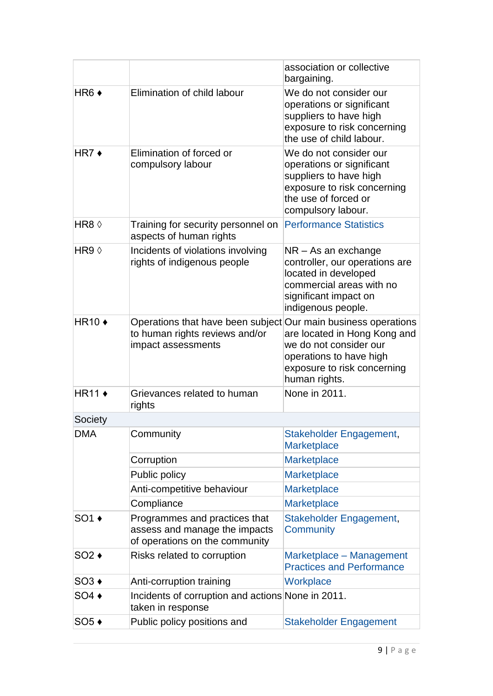|                   |                                                                                                                        | association or collective<br>bargaining.                                                                                                                   |
|-------------------|------------------------------------------------------------------------------------------------------------------------|------------------------------------------------------------------------------------------------------------------------------------------------------------|
| $HR6 +$           | Elimination of child labour                                                                                            | We do not consider our<br>operations or significant<br>suppliers to have high<br>exposure to risk concerning<br>the use of child labour.                   |
| HR7 $\star$       | Elimination of forced or<br>compulsory labour                                                                          | We do not consider our<br>operations or significant<br>suppliers to have high<br>exposure to risk concerning<br>the use of forced or<br>compulsory labour. |
| HR8 $\Diamond$    | Training for security personnel on<br>aspects of human rights                                                          | <b>Performance Statistics</b>                                                                                                                              |
| HR9 $\Diamond$    | Incidents of violations involving<br>rights of indigenous people                                                       | $NR - As$ an exchange<br>controller, our operations are<br>located in developed<br>commercial areas with no<br>significant impact on<br>indigenous people. |
| HR10 $\triangle$  | Operations that have been subject Our main business operations<br>to human rights reviews and/or<br>impact assessments | are located in Hong Kong and<br>we do not consider our<br>operations to have high<br>exposure to risk concerning<br>human rights.                          |
| $HR11 \triangleq$ | Grievances related to human<br>rights                                                                                  | None in 2011.                                                                                                                                              |
| Society           |                                                                                                                        |                                                                                                                                                            |
| <b>DMA</b>        | Community                                                                                                              | Stakeholder Engagement,<br><b>Marketplace</b>                                                                                                              |
|                   | Corruption                                                                                                             | <b>Marketplace</b>                                                                                                                                         |
|                   | Public policy                                                                                                          | <b>Marketplace</b>                                                                                                                                         |
|                   | Anti-competitive behaviour                                                                                             | <b>Marketplace</b>                                                                                                                                         |
|                   | Compliance                                                                                                             | Marketplace                                                                                                                                                |
| $SO1 \rightarrow$ | Programmes and practices that<br>assess and manage the impacts<br>of operations on the community                       | Stakeholder Engagement,<br>Community                                                                                                                       |
| $SO2 \rightarrow$ | Risks related to corruption                                                                                            | Marketplace - Management<br><b>Practices and Performance</b>                                                                                               |
| $SO3 \rightarrow$ | Anti-corruption training                                                                                               | Workplace                                                                                                                                                  |
| $SO4 \rightarrow$ | Incidents of corruption and actions None in 2011.<br>taken in response                                                 |                                                                                                                                                            |
| $SO5+$            | Public policy positions and                                                                                            | <b>Stakeholder Engagement</b>                                                                                                                              |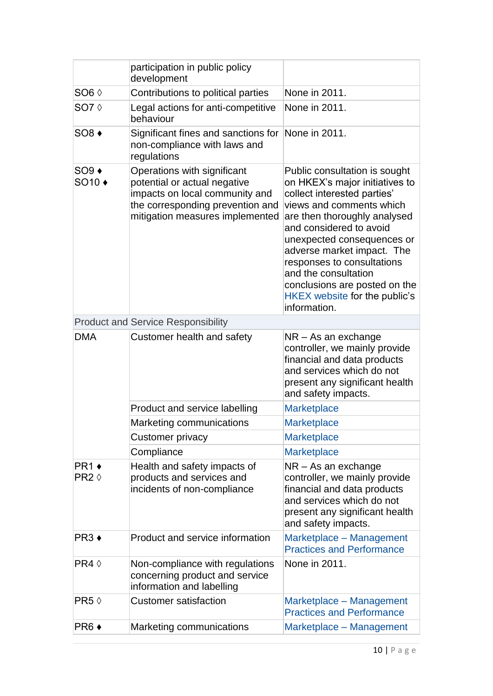|                                       | participation in public policy<br>development                                                                                                                        |                                                                                                                                                                                                                                                                                                                                                                                           |
|---------------------------------------|----------------------------------------------------------------------------------------------------------------------------------------------------------------------|-------------------------------------------------------------------------------------------------------------------------------------------------------------------------------------------------------------------------------------------------------------------------------------------------------------------------------------------------------------------------------------------|
| SO <sub>6</sub> 0                     | Contributions to political parties                                                                                                                                   | None in 2011.                                                                                                                                                                                                                                                                                                                                                                             |
| SO7 $\Diamond$                        | Legal actions for anti-competitive<br>behaviour                                                                                                                      | None in 2011.                                                                                                                                                                                                                                                                                                                                                                             |
| $SO8 \rightarrow$                     | Significant fines and sanctions for<br>non-compliance with laws and<br>regulations                                                                                   | None in 2011.                                                                                                                                                                                                                                                                                                                                                                             |
| $SO9 \rightarrow$<br>SO <sub>10</sub> | Operations with significant<br>potential or actual negative<br>impacts on local community and<br>the corresponding prevention and<br>mitigation measures implemented | Public consultation is sought<br>on HKEX's major initiatives to<br>collect interested parties'<br>views and comments which<br>are then thoroughly analysed<br>and considered to avoid<br>unexpected consequences or<br>adverse market impact. The<br>responses to consultations<br>and the consultation<br>conclusions are posted on the<br>HKEX website for the public's<br>information. |
|                                       | <b>Product and Service Responsibility</b>                                                                                                                            |                                                                                                                                                                                                                                                                                                                                                                                           |
| <b>DMA</b>                            | Customer health and safety                                                                                                                                           | NR - As an exchange<br>controller, we mainly provide<br>financial and data products<br>and services which do not<br>present any significant health<br>and safety impacts.                                                                                                                                                                                                                 |
|                                       | Product and service labelling                                                                                                                                        | <b>Marketplace</b>                                                                                                                                                                                                                                                                                                                                                                        |
|                                       | Marketing communications                                                                                                                                             | <b>Marketplace</b>                                                                                                                                                                                                                                                                                                                                                                        |
|                                       | Customer privacy                                                                                                                                                     | <b>Marketplace</b>                                                                                                                                                                                                                                                                                                                                                                        |
|                                       | Compliance                                                                                                                                                           | <b>Marketplace</b>                                                                                                                                                                                                                                                                                                                                                                        |
| $PR1 \rightarrow$<br>$PR2$ $\Diamond$ | Health and safety impacts of<br>products and services and<br>incidents of non-compliance                                                                             | NR - As an exchange<br>controller, we mainly provide<br>financial and data products<br>and services which do not<br>present any significant health<br>and safety impacts.                                                                                                                                                                                                                 |
| PR <sub>3</sub> +                     | Product and service information                                                                                                                                      | Marketplace - Management<br><b>Practices and Performance</b>                                                                                                                                                                                                                                                                                                                              |
| $PR4 \Diamond$                        | Non-compliance with regulations<br>concerning product and service<br>information and labelling                                                                       | None in 2011.                                                                                                                                                                                                                                                                                                                                                                             |
| PR5                                   | <b>Customer satisfaction</b>                                                                                                                                         | Marketplace - Management<br><b>Practices and Performance</b>                                                                                                                                                                                                                                                                                                                              |
| $PR6 +$                               | Marketing communications                                                                                                                                             | Marketplace - Management                                                                                                                                                                                                                                                                                                                                                                  |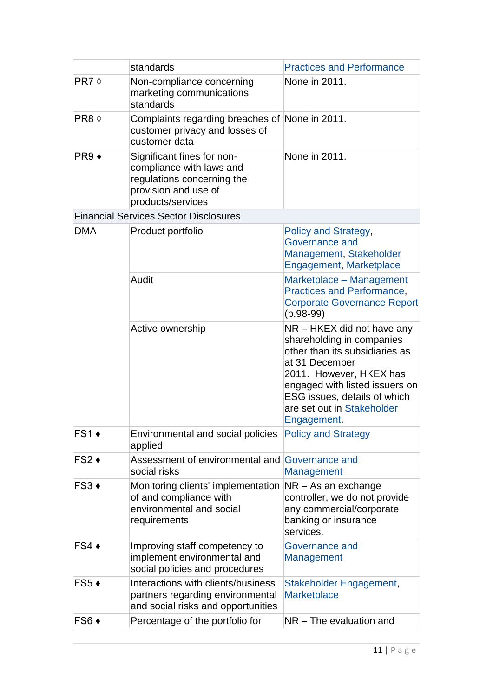|                   | standards                                                                                                                         | <b>Practices and Performance</b>                                                                                                                                                                                                                      |
|-------------------|-----------------------------------------------------------------------------------------------------------------------------------|-------------------------------------------------------------------------------------------------------------------------------------------------------------------------------------------------------------------------------------------------------|
| PR7 $\Diamond$    | Non-compliance concerning<br>marketing communications<br>standards                                                                | None in 2011.                                                                                                                                                                                                                                         |
| PR8 0             | Complaints regarding breaches of None in 2011.<br>customer privacy and losses of<br>customer data                                 |                                                                                                                                                                                                                                                       |
| $PR9 +$           | Significant fines for non-<br>compliance with laws and<br>regulations concerning the<br>provision and use of<br>products/services | None in 2011.                                                                                                                                                                                                                                         |
|                   | <b>Financial Services Sector Disclosures</b>                                                                                      |                                                                                                                                                                                                                                                       |
| <b>DMA</b>        | Product portfolio                                                                                                                 | Policy and Strategy,<br>Governance and<br>Management, Stakeholder<br>Engagement, Marketplace                                                                                                                                                          |
|                   | Audit                                                                                                                             | Marketplace - Management<br>Practices and Performance,<br><b>Corporate Governance Report</b><br>$(p.98-99)$                                                                                                                                           |
|                   | Active ownership                                                                                                                  | NR – HKEX did not have any<br>shareholding in companies<br>other than its subsidiaries as<br>at 31 December<br>2011. However, HKEX has<br>engaged with listed issuers on<br>ESG issues, details of which<br>are set out in Stakeholder<br>Engagement. |
| $FS1 \rightarrow$ | Environmental and social policies Policy and Strategy<br>applied                                                                  |                                                                                                                                                                                                                                                       |
| $FS2 \rightarrow$ | Assessment of environmental and Governance and<br>social risks                                                                    | <b>Management</b>                                                                                                                                                                                                                                     |
| $FS3 \rightarrow$ | Monitoring clients' implementation<br>of and compliance with<br>environmental and social<br>requirements                          | NR - As an exchange<br>controller, we do not provide<br>any commercial/corporate<br>banking or insurance<br>services.                                                                                                                                 |
| $FS4 \rightarrow$ | Improving staff competency to<br>implement environmental and<br>social policies and procedures                                    | Governance and<br>Management                                                                                                                                                                                                                          |
| $FS5 +$           | Interactions with clients/business<br>partners regarding environmental<br>and social risks and opportunities                      | Stakeholder Engagement,<br><b>Marketplace</b>                                                                                                                                                                                                         |
| FS6 ◆             | Percentage of the portfolio for                                                                                                   | NR - The evaluation and                                                                                                                                                                                                                               |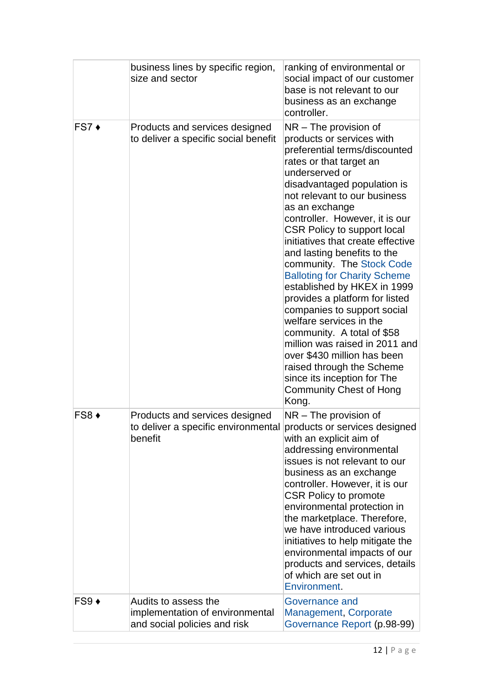|                   | business lines by specific region,<br>size and sector                                   | ranking of environmental or<br>social impact of our customer<br>base is not relevant to our<br>business as an exchange<br>controller.                                                                                                                                                                                                                                                                                                                                                                                                                                                                                                                                                                                                                                |
|-------------------|-----------------------------------------------------------------------------------------|----------------------------------------------------------------------------------------------------------------------------------------------------------------------------------------------------------------------------------------------------------------------------------------------------------------------------------------------------------------------------------------------------------------------------------------------------------------------------------------------------------------------------------------------------------------------------------------------------------------------------------------------------------------------------------------------------------------------------------------------------------------------|
| $FS7 +$           | Products and services designed<br>to deliver a specific social benefit                  | $NR$ – The provision of<br>products or services with<br>preferential terms/discounted<br>rates or that target an<br>underserved or<br>disadvantaged population is<br>not relevant to our business<br>as an exchange<br>controller. However, it is our<br><b>CSR Policy to support local</b><br>initiatives that create effective<br>and lasting benefits to the<br>community. The Stock Code<br><b>Balloting for Charity Scheme</b><br>established by HKEX in 1999<br>provides a platform for listed<br>companies to support social<br>welfare services in the<br>community. A total of \$58<br>million was raised in 2011 and<br>over \$430 million has been<br>raised through the Scheme<br>since its inception for The<br><b>Community Chest of Hong</b><br>Kong. |
| FS8 ◆             | Products and services designed<br>to deliver a specific environmental<br>benefit        | $NR$ – The provision of<br>products or services designed<br>with an explicit aim of<br>addressing environmental<br>issues is not relevant to our<br>business as an exchange<br>controller. However, it is our<br><b>CSR Policy to promote</b><br>environmental protection in<br>the marketplace. Therefore,<br>we have introduced various<br>initiatives to help mitigate the<br>environmental impacts of our<br>products and services, details<br>of which are set out in<br>Environment.                                                                                                                                                                                                                                                                           |
| $FS9 \rightarrow$ | Audits to assess the<br>implementation of environmental<br>and social policies and risk | Governance and<br>Management, Corporate<br>Governance Report (p.98-99)                                                                                                                                                                                                                                                                                                                                                                                                                                                                                                                                                                                                                                                                                               |